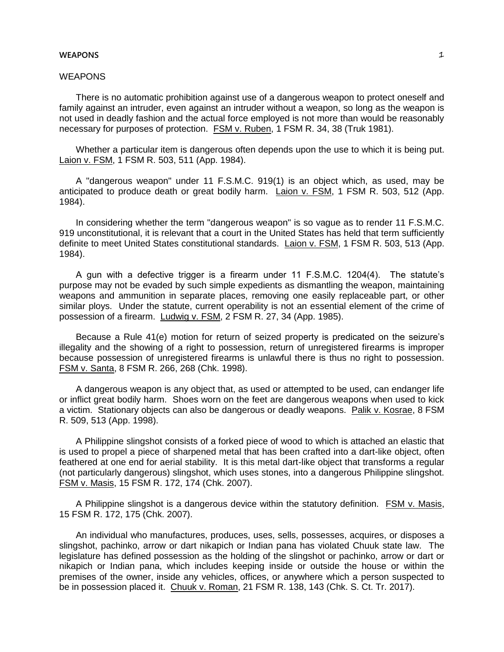### **WEAPONS**  $\qquad \qquad \mathcal{I}$

# **WEAPONS**

There is no automatic prohibition against use of a dangerous weapon to protect oneself and family against an intruder, even against an intruder without a weapon, so long as the weapon is not used in deadly fashion and the actual force employed is not more than would be reasonably necessary for purposes of protection. FSM v. Ruben, 1 FSM R. 34, 38 (Truk 1981).

Whether a particular item is dangerous often depends upon the use to which it is being put. Laion v. FSM, 1 FSM R. 503, 511 (App. 1984).

A "dangerous weapon" under 11 F.S.M.C. 919(1) is an object which, as used, may be anticipated to produce death or great bodily harm. Laion v. FSM, 1 FSM R. 503, 512 (App. 1984).

In considering whether the term "dangerous weapon" is so vague as to render 11 F.S.M.C. 919 unconstitutional, it is relevant that a court in the United States has held that term sufficiently definite to meet United States constitutional standards. Laion v. FSM, 1 FSM R. 503, 513 (App. 1984).

A gun with a defective trigger is a firearm under 11 F.S.M.C. 1204(4). The statute's purpose may not be evaded by such simple expedients as dismantling the weapon, maintaining weapons and ammunition in separate places, removing one easily replaceable part, or other similar ploys. Under the statute, current operability is not an essential element of the crime of possession of a firearm. Ludwig v. FSM, 2 FSM R. 27, 34 (App. 1985).

Because a Rule 41(e) motion for return of seized property is predicated on the seizure's illegality and the showing of a right to possession, return of unregistered firearms is improper because possession of unregistered firearms is unlawful there is thus no right to possession. FSM v. Santa, 8 FSM R. 266, 268 (Chk. 1998).

A dangerous weapon is any object that, as used or attempted to be used, can endanger life or inflict great bodily harm. Shoes worn on the feet are dangerous weapons when used to kick a victim. Stationary objects can also be dangerous or deadly weapons. Palik v. Kosrae, 8 FSM R. 509, 513 (App. 1998).

A Philippine slingshot consists of a forked piece of wood to which is attached an elastic that is used to propel a piece of sharpened metal that has been crafted into a dart-like object, often feathered at one end for aerial stability. It is this metal dart-like object that transforms a regular (not particularly dangerous) slingshot, which uses stones, into a dangerous Philippine slingshot. FSM v. Masis, 15 FSM R. 172, 174 (Chk. 2007).

A Philippine slingshot is a dangerous device within the statutory definition. FSM v. Masis, 15 FSM R. 172, 175 (Chk. 2007).

An individual who manufactures, produces, uses, sells, possesses, acquires, or disposes a slingshot, pachinko, arrow or dart nikapich or Indian pana has violated Chuuk state law. The legislature has defined possession as the holding of the slingshot or pachinko, arrow or dart or nikapich or Indian pana, which includes keeping inside or outside the house or within the premises of the owner, inside any vehicles, offices, or anywhere which a person suspected to be in possession placed it. Chuuk v. Roman, 21 FSM R. 138, 143 (Chk. S. Ct. Tr. 2017).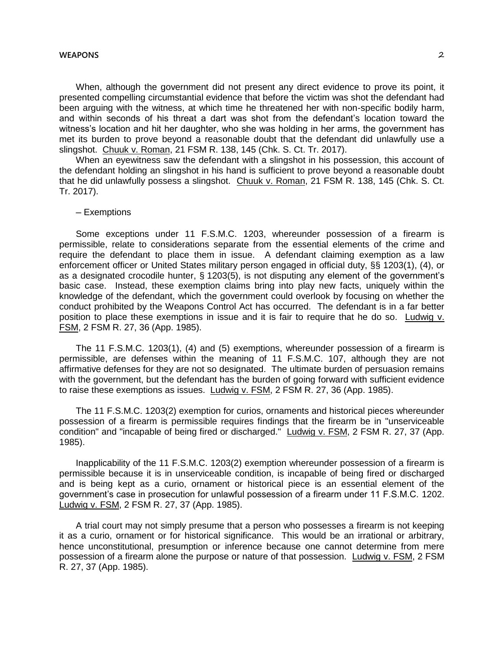#### **WEAPONS** 2

When, although the government did not present any direct evidence to prove its point, it presented compelling circumstantial evidence that before the victim was shot the defendant had been arguing with the witness, at which time he threatened her with non-specific bodily harm, and within seconds of his threat a dart was shot from the defendant's location toward the witness's location and hit her daughter, who she was holding in her arms, the government has met its burden to prove beyond a reasonable doubt that the defendant did unlawfully use a slingshot. Chuuk v. Roman, 21 FSM R. 138, 145 (Chk. S. Ct. Tr. 2017).

When an eyewitness saw the defendant with a slingshot in his possession, this account of the defendant holding an slingshot in his hand is sufficient to prove beyond a reasonable doubt that he did unlawfully possess a slingshot. Chuuk v. Roman, 21 FSM R. 138, 145 (Chk. S. Ct. Tr. 2017).

## ─ Exemptions

Some exceptions under 11 F.S.M.C. 1203, whereunder possession of a firearm is permissible, relate to considerations separate from the essential elements of the crime and require the defendant to place them in issue. A defendant claiming exemption as a law enforcement officer or United States military person engaged in official duty, §§ 1203(1), (4), or as a designated crocodile hunter, § 1203(5), is not disputing any element of the government's basic case. Instead, these exemption claims bring into play new facts, uniquely within the knowledge of the defendant, which the government could overlook by focusing on whether the conduct prohibited by the Weapons Control Act has occurred. The defendant is in a far better position to place these exemptions in issue and it is fair to require that he do so. Ludwig v. FSM, 2 FSM R. 27, 36 (App. 1985).

The 11 F.S.M.C. 1203(1), (4) and (5) exemptions, whereunder possession of a firearm is permissible, are defenses within the meaning of 11 F.S.M.C. 107, although they are not affirmative defenses for they are not so designated. The ultimate burden of persuasion remains with the government, but the defendant has the burden of going forward with sufficient evidence to raise these exemptions as issues. Ludwig v. FSM, 2 FSM R. 27, 36 (App. 1985).

The 11 F.S.M.C. 1203(2) exemption for curios, ornaments and historical pieces whereunder possession of a firearm is permissible requires findings that the firearm be in "unserviceable condition" and "incapable of being fired or discharged." Ludwig v. FSM, 2 FSM R. 27, 37 (App. 1985).

Inapplicability of the 11 F.S.M.C. 1203(2) exemption whereunder possession of a firearm is permissible because it is in unserviceable condition, is incapable of being fired or discharged and is being kept as a curio, ornament or historical piece is an essential element of the government's case in prosecution for unlawful possession of a firearm under 11 F.S.M.C. 1202. Ludwig v. FSM, 2 FSM R. 27, 37 (App. 1985).

A trial court may not simply presume that a person who possesses a firearm is not keeping it as a curio, ornament or for historical significance. This would be an irrational or arbitrary, hence unconstitutional, presumption or inference because one cannot determine from mere possession of a firearm alone the purpose or nature of that possession. Ludwig v. FSM, 2 FSM R. 27, 37 (App. 1985).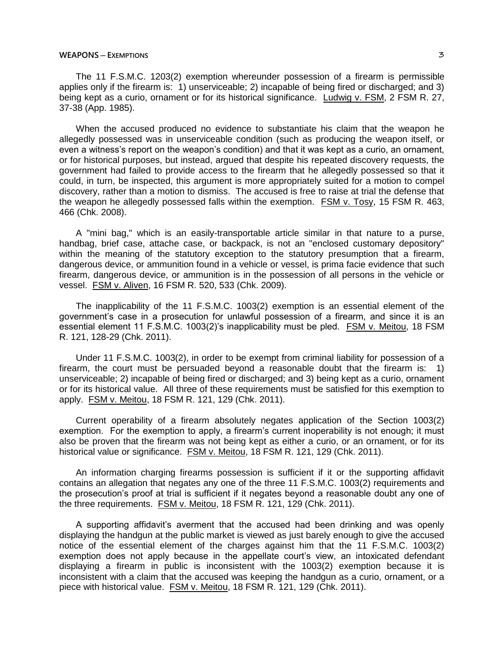### **WEAPONS** — **EXEMPTIONS** 3

The 11 F.S.M.C. 1203(2) exemption whereunder possession of a firearm is permissible applies only if the firearm is: 1) unserviceable; 2) incapable of being fired or discharged; and 3) being kept as a curio, ornament or for its historical significance. Ludwig v. FSM, 2 FSM R. 27, 37-38 (App. 1985).

When the accused produced no evidence to substantiate his claim that the weapon he allegedly possessed was in unserviceable condition (such as producing the weapon itself, or even a witness's report on the weapon's condition) and that it was kept as a curio, an ornament, or for historical purposes, but instead, argued that despite his repeated discovery requests, the government had failed to provide access to the firearm that he allegedly possessed so that it could, in turn, be inspected, this argument is more appropriately suited for a motion to compel discovery, rather than a motion to dismiss. The accused is free to raise at trial the defense that the weapon he allegedly possessed falls within the exemption. FSM v. Tosy, 15 FSM R. 463, 466 (Chk. 2008).

A "mini bag," which is an easily-transportable article similar in that nature to a purse, handbag, brief case, attache case, or backpack, is not an "enclosed customary depository" within the meaning of the statutory exception to the statutory presumption that a firearm, dangerous device, or ammunition found in a vehicle or vessel, is prima facie evidence that such firearm, dangerous device, or ammunition is in the possession of all persons in the vehicle or vessel. FSM v. Aliven, 16 FSM R. 520, 533 (Chk. 2009).

The inapplicability of the 11 F.S.M.C. 1003(2) exemption is an essential element of the government's case in a prosecution for unlawful possession of a firearm, and since it is an essential element 11 F.S.M.C. 1003(2)'s inapplicability must be pled. FSM v. Meitou, 18 FSM R. 121, 128-29 (Chk. 2011).

Under 11 F.S.M.C. 1003(2), in order to be exempt from criminal liability for possession of a firearm, the court must be persuaded beyond a reasonable doubt that the firearm is: 1) unserviceable; 2) incapable of being fired or discharged; and 3) being kept as a curio, ornament or for its historical value. All three of these requirements must be satisfied for this exemption to apply. FSM v. Meitou, 18 FSM R. 121, 129 (Chk. 2011).

Current operability of a firearm absolutely negates application of the Section 1003(2) exemption. For the exemption to apply, a firearm's current inoperability is not enough; it must also be proven that the firearm was not being kept as either a curio, or an ornament, or for its historical value or significance. FSM v. Meitou, 18 FSM R. 121, 129 (Chk. 2011).

An information charging firearms possession is sufficient if it or the supporting affidavit contains an allegation that negates any one of the three 11 F.S.M.C. 1003(2) requirements and the prosecution's proof at trial is sufficient if it negates beyond a reasonable doubt any one of the three requirements. FSM v. Meitou, 18 FSM R. 121, 129 (Chk. 2011).

A supporting affidavit's averment that the accused had been drinking and was openly displaying the handgun at the public market is viewed as just barely enough to give the accused notice of the essential element of the charges against him that the 11 F.S.M.C. 1003(2) exemption does not apply because in the appellate court's view, an intoxicated defendant displaying a firearm in public is inconsistent with the 1003(2) exemption because it is inconsistent with a claim that the accused was keeping the handgun as a curio, ornament, or a piece with historical value. FSM v. Meitou, 18 FSM R. 121, 129 (Chk. 2011).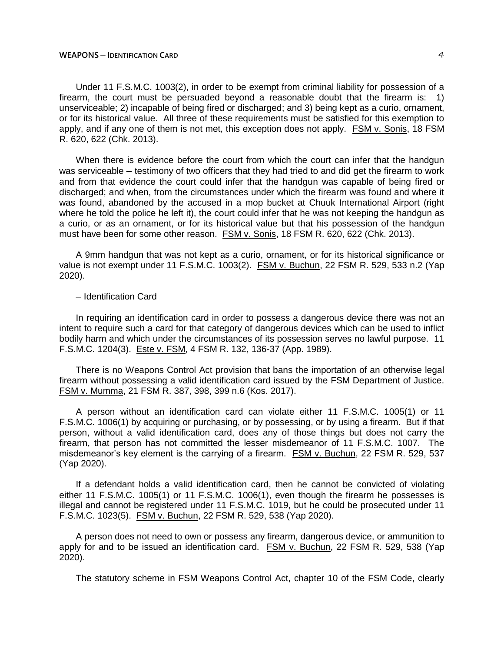### **WEAPONS ─ IDENTIFICATION CARD** 4

Under 11 F.S.M.C. 1003(2), in order to be exempt from criminal liability for possession of a firearm, the court must be persuaded beyond a reasonable doubt that the firearm is: 1) unserviceable; 2) incapable of being fired or discharged; and 3) being kept as a curio, ornament, or for its historical value. All three of these requirements must be satisfied for this exemption to apply, and if any one of them is not met, this exception does not apply. FSM v. Sonis, 18 FSM R. 620, 622 (Chk. 2013).

When there is evidence before the court from which the court can infer that the handgun was serviceable – testimony of two officers that they had tried to and did get the firearm to work and from that evidence the court could infer that the handgun was capable of being fired or discharged; and when, from the circumstances under which the firearm was found and where it was found, abandoned by the accused in a mop bucket at Chuuk International Airport (right where he told the police he left it), the court could infer that he was not keeping the handgun as a curio, or as an ornament, or for its historical value but that his possession of the handgun must have been for some other reason. FSM v. Sonis, 18 FSM R. 620, 622 (Chk. 2013).

A 9mm handgun that was not kept as a curio, ornament, or for its historical significance or value is not exempt under 11 F.S.M.C. 1003(2). FSM v. Buchun, 22 FSM R. 529, 533 n.2 (Yap 2020).

## ─ Identification Card

In requiring an identification card in order to possess a dangerous device there was not an intent to require such a card for that category of dangerous devices which can be used to inflict bodily harm and which under the circumstances of its possession serves no lawful purpose. 11 F.S.M.C. 1204(3). Este v. FSM, 4 FSM R. 132, 136-37 (App. 1989).

There is no Weapons Control Act provision that bans the importation of an otherwise legal firearm without possessing a valid identification card issued by the FSM Department of Justice. FSM v. Mumma, 21 FSM R. 387, 398, 399 n.6 (Kos. 2017).

A person without an identification card can violate either 11 F.S.M.C. 1005(1) or 11 F.S.M.C. 1006(1) by acquiring or purchasing, or by possessing, or by using a firearm. But if that person, without a valid identification card, does any of those things but does not carry the firearm, that person has not committed the lesser misdemeanor of 11 F.S.M.C. 1007. The misdemeanor's key element is the carrying of a firearm. FSM v. Buchun, 22 FSM R. 529, 537 (Yap 2020).

If a defendant holds a valid identification card, then he cannot be convicted of violating either 11 F.S.M.C. 1005(1) or 11 F.S.M.C. 1006(1), even though the firearm he possesses is illegal and cannot be registered under 11 F.S.M.C. 1019, but he could be prosecuted under 11 F.S.M.C. 1023(5). FSM v. Buchun, 22 FSM R. 529, 538 (Yap 2020).

A person does not need to own or possess any firearm, dangerous device, or ammunition to apply for and to be issued an identification card. FSM v. Buchun, 22 FSM R. 529, 538 (Yap 2020).

The statutory scheme in FSM Weapons Control Act, chapter 10 of the FSM Code, clearly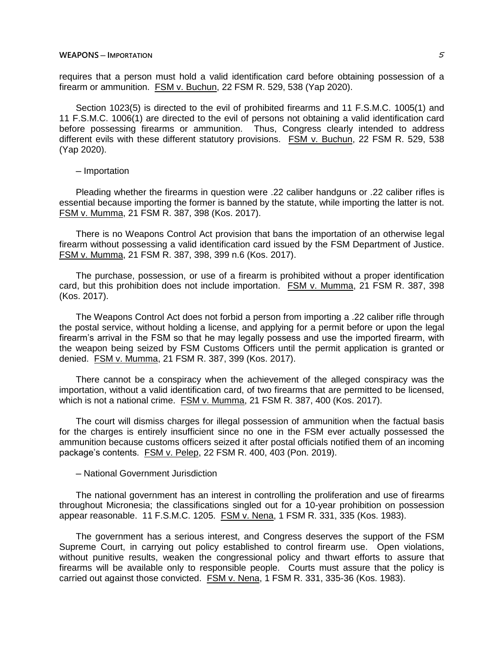requires that a person must hold a valid identification card before obtaining possession of a firearm or ammunition. FSM v. Buchun, 22 FSM R. 529, 538 (Yap 2020).

Section 1023(5) is directed to the evil of prohibited firearms and 11 F.S.M.C. 1005(1) and 11 F.S.M.C. 1006(1) are directed to the evil of persons not obtaining a valid identification card before possessing firearms or ammunition. Thus, Congress clearly intended to address different evils with these different statutory provisions. FSM v. Buchun, 22 FSM R. 529, 538 (Yap 2020).

─ Importation

Pleading whether the firearms in question were .22 caliber handguns or .22 caliber rifles is essential because importing the former is banned by the statute, while importing the latter is not. FSM v. Mumma, 21 FSM R. 387, 398 (Kos. 2017).

There is no Weapons Control Act provision that bans the importation of an otherwise legal firearm without possessing a valid identification card issued by the FSM Department of Justice. FSM v. Mumma, 21 FSM R. 387, 398, 399 n.6 (Kos. 2017).

The purchase, possession, or use of a firearm is prohibited without a proper identification card, but this prohibition does not include importation. FSM v. Mumma, 21 FSM R. 387, 398 (Kos. 2017).

The Weapons Control Act does not forbid a person from importing a .22 caliber rifle through the postal service, without holding a license, and applying for a permit before or upon the legal firearm's arrival in the FSM so that he may legally possess and use the imported firearm, with the weapon being seized by FSM Customs Officers until the permit application is granted or denied. FSM v. Mumma, 21 FSM R. 387, 399 (Kos. 2017).

There cannot be a conspiracy when the achievement of the alleged conspiracy was the importation, without a valid identification card, of two firearms that are permitted to be licensed, which is not a national crime. FSM v. Mumma, 21 FSM R. 387, 400 (Kos. 2017).

The court will dismiss charges for illegal possession of ammunition when the factual basis for the charges is entirely insufficient since no one in the FSM ever actually possessed the ammunition because customs officers seized it after postal officials notified them of an incoming package's contents. FSM v. Pelep, 22 FSM R. 400, 403 (Pon. 2019).

─ National Government Jurisdiction

The national government has an interest in controlling the proliferation and use of firearms throughout Micronesia; the classifications singled out for a 10-year prohibition on possession appear reasonable. 11 F.S.M.C. 1205. FSM v. Nena, 1 FSM R. 331, 335 (Kos. 1983).

The government has a serious interest, and Congress deserves the support of the FSM Supreme Court, in carrying out policy established to control firearm use. Open violations, without punitive results, weaken the congressional policy and thwart efforts to assure that firearms will be available only to responsible people. Courts must assure that the policy is carried out against those convicted. FSM v. Nena, 1 FSM R. 331, 335-36 (Kos. 1983).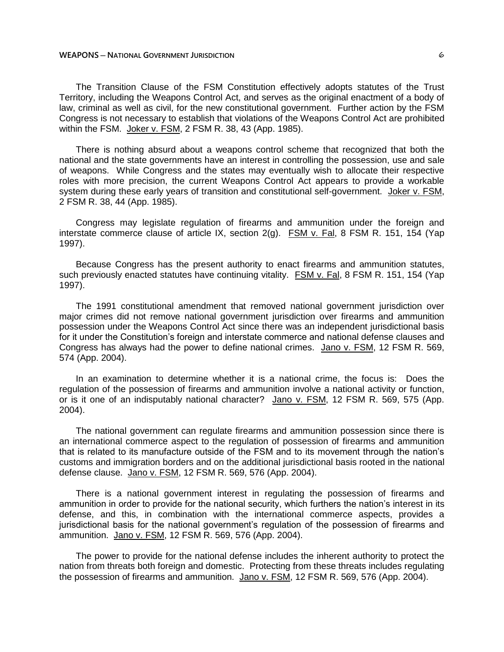The Transition Clause of the FSM Constitution effectively adopts statutes of the Trust Territory, including the Weapons Control Act, and serves as the original enactment of a body of law, criminal as well as civil, for the new constitutional government. Further action by the FSM Congress is not necessary to establish that violations of the Weapons Control Act are prohibited within the FSM. Joker v. FSM, 2 FSM R. 38, 43 (App. 1985).

There is nothing absurd about a weapons control scheme that recognized that both the national and the state governments have an interest in controlling the possession, use and sale of weapons. While Congress and the states may eventually wish to allocate their respective roles with more precision, the current Weapons Control Act appears to provide a workable system during these early years of transition and constitutional self-government. Joker v. FSM, 2 FSM R. 38, 44 (App. 1985).

Congress may legislate regulation of firearms and ammunition under the foreign and interstate commerce clause of article IX, section  $2(g)$ . FSM v. Fal, 8 FSM R. 151, 154 (Yap 1997).

Because Congress has the present authority to enact firearms and ammunition statutes, such previously enacted statutes have continuing vitality. FSM v. Fal, 8 FSM R. 151, 154 (Yap 1997).

The 1991 constitutional amendment that removed national government jurisdiction over major crimes did not remove national government jurisdiction over firearms and ammunition possession under the Weapons Control Act since there was an independent jurisdictional basis for it under the Constitution's foreign and interstate commerce and national defense clauses and Congress has always had the power to define national crimes. Jano v. FSM, 12 FSM R. 569, 574 (App. 2004).

In an examination to determine whether it is a national crime, the focus is: Does the regulation of the possession of firearms and ammunition involve a national activity or function, or is it one of an indisputably national character? Jano v. FSM, 12 FSM R. 569, 575 (App. 2004).

The national government can regulate firearms and ammunition possession since there is an international commerce aspect to the regulation of possession of firearms and ammunition that is related to its manufacture outside of the FSM and to its movement through the nation's customs and immigration borders and on the additional jurisdictional basis rooted in the national defense clause. Jano v. FSM, 12 FSM R. 569, 576 (App. 2004).

There is a national government interest in regulating the possession of firearms and ammunition in order to provide for the national security, which furthers the nation's interest in its defense, and this, in combination with the international commerce aspects, provides a jurisdictional basis for the national government's regulation of the possession of firearms and ammunition. Jano v. FSM, 12 FSM R. 569, 576 (App. 2004).

The power to provide for the national defense includes the inherent authority to protect the nation from threats both foreign and domestic. Protecting from these threats includes regulating the possession of firearms and ammunition. Jano v. FSM, 12 FSM R. 569, 576 (App. 2004).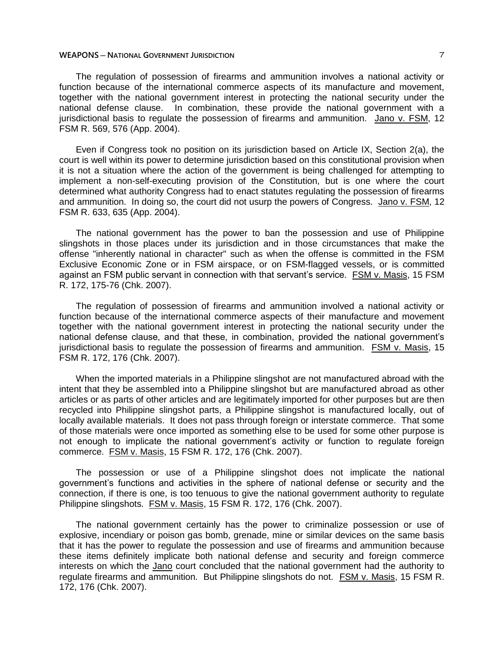### **WEAPONS ─ NATIONAL GOVERNMENT JURISDICTION** 7

The regulation of possession of firearms and ammunition involves a national activity or function because of the international commerce aspects of its manufacture and movement, together with the national government interest in protecting the national security under the national defense clause. In combination, these provide the national government with a jurisdictional basis to regulate the possession of firearms and ammunition. Jano v. FSM, 12 FSM R. 569, 576 (App. 2004).

Even if Congress took no position on its jurisdiction based on Article IX, Section 2(a), the court is well within its power to determine jurisdiction based on this constitutional provision when it is not a situation where the action of the government is being challenged for attempting to implement a non-self-executing provision of the Constitution, but is one where the court determined what authority Congress had to enact statutes regulating the possession of firearms and ammunition. In doing so, the court did not usurp the powers of Congress. Jano v. FSM, 12 FSM R. 633, 635 (App. 2004).

The national government has the power to ban the possession and use of Philippine slingshots in those places under its jurisdiction and in those circumstances that make the offense "inherently national in character" such as when the offense is committed in the FSM Exclusive Economic Zone or in FSM airspace, or on FSM-flagged vessels, or is committed against an FSM public servant in connection with that servant's service. FSM v. Masis, 15 FSM R. 172, 175-76 (Chk. 2007).

The regulation of possession of firearms and ammunition involved a national activity or function because of the international commerce aspects of their manufacture and movement together with the national government interest in protecting the national security under the national defense clause, and that these, in combination, provided the national government's jurisdictional basis to regulate the possession of firearms and ammunition. FSM v. Masis, 15 FSM R. 172, 176 (Chk. 2007).

When the imported materials in a Philippine slingshot are not manufactured abroad with the intent that they be assembled into a Philippine slingshot but are manufactured abroad as other articles or as parts of other articles and are legitimately imported for other purposes but are then recycled into Philippine slingshot parts, a Philippine slingshot is manufactured locally, out of locally available materials. It does not pass through foreign or interstate commerce. That some of those materials were once imported as something else to be used for some other purpose is not enough to implicate the national government's activity or function to regulate foreign commerce. FSM v. Masis, 15 FSM R. 172, 176 (Chk. 2007).

The possession or use of a Philippine slingshot does not implicate the national government's functions and activities in the sphere of national defense or security and the connection, if there is one, is too tenuous to give the national government authority to regulate Philippine slingshots. FSM v. Masis, 15 FSM R. 172, 176 (Chk. 2007).

The national government certainly has the power to criminalize possession or use of explosive, incendiary or poison gas bomb, grenade, mine or similar devices on the same basis that it has the power to regulate the possession and use of firearms and ammunition because these items definitely implicate both national defense and security and foreign commerce interests on which the Jano court concluded that the national government had the authority to regulate firearms and ammunition. But Philippine slingshots do not. FSM v. Masis, 15 FSM R. 172, 176 (Chk. 2007).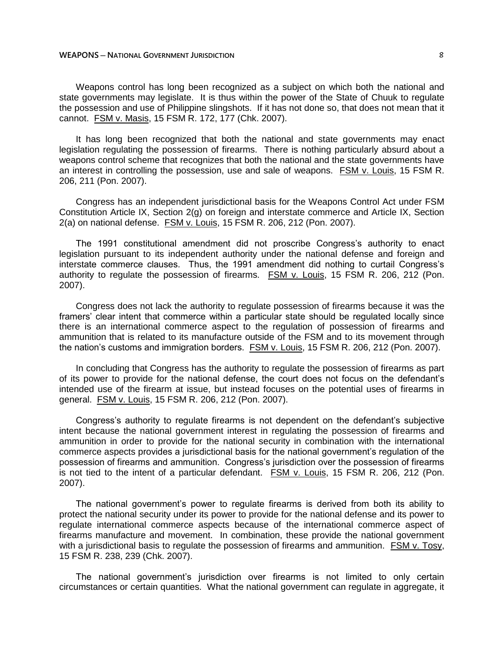Weapons control has long been recognized as a subject on which both the national and state governments may legislate. It is thus within the power of the State of Chuuk to regulate the possession and use of Philippine slingshots. If it has not done so, that does not mean that it cannot. FSM v. Masis, 15 FSM R. 172, 177 (Chk. 2007).

It has long been recognized that both the national and state governments may enact legislation regulating the possession of firearms. There is nothing particularly absurd about a weapons control scheme that recognizes that both the national and the state governments have an interest in controlling the possession, use and sale of weapons. FSM v. Louis, 15 FSM R. 206, 211 (Pon. 2007).

Congress has an independent jurisdictional basis for the Weapons Control Act under FSM Constitution Article IX, Section 2(g) on foreign and interstate commerce and Article IX, Section 2(a) on national defense. FSM v. Louis, 15 FSM R. 206, 212 (Pon. 2007).

The 1991 constitutional amendment did not proscribe Congress's authority to enact legislation pursuant to its independent authority under the national defense and foreign and interstate commerce clauses. Thus, the 1991 amendment did nothing to curtail Congress's authority to regulate the possession of firearms. FSM v. Louis, 15 FSM R. 206, 212 (Pon. 2007).

Congress does not lack the authority to regulate possession of firearms because it was the framers' clear intent that commerce within a particular state should be regulated locally since there is an international commerce aspect to the regulation of possession of firearms and ammunition that is related to its manufacture outside of the FSM and to its movement through the nation's customs and immigration borders. FSM v. Louis, 15 FSM R. 206, 212 (Pon. 2007).

In concluding that Congress has the authority to regulate the possession of firearms as part of its power to provide for the national defense, the court does not focus on the defendant's intended use of the firearm at issue, but instead focuses on the potential uses of firearms in general. FSM v. Louis, 15 FSM R. 206, 212 (Pon. 2007).

Congress's authority to regulate firearms is not dependent on the defendant's subjective intent because the national government interest in regulating the possession of firearms and ammunition in order to provide for the national security in combination with the international commerce aspects provides a jurisdictional basis for the national government's regulation of the possession of firearms and ammunition. Congress's jurisdiction over the possession of firearms is not tied to the intent of a particular defendant. FSM v. Louis, 15 FSM R. 206, 212 (Pon. 2007).

The national government's power to regulate firearms is derived from both its ability to protect the national security under its power to provide for the national defense and its power to regulate international commerce aspects because of the international commerce aspect of firearms manufacture and movement. In combination, these provide the national government with a jurisdictional basis to regulate the possession of firearms and ammunition. FSM v. Tosy, 15 FSM R. 238, 239 (Chk. 2007).

The national government's jurisdiction over firearms is not limited to only certain circumstances or certain quantities. What the national government can regulate in aggregate, it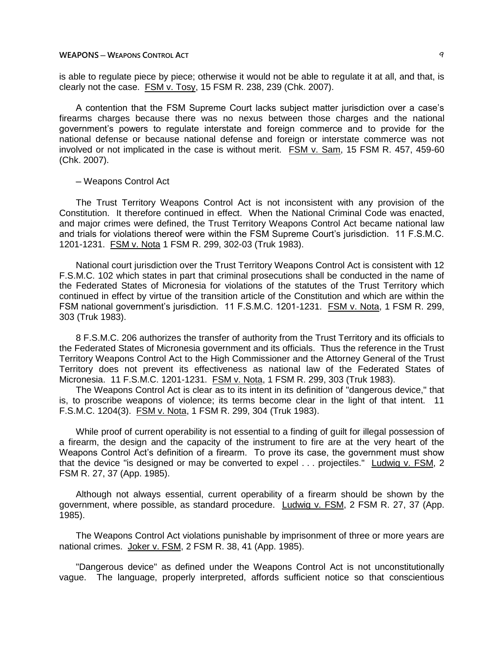is able to regulate piece by piece; otherwise it would not be able to regulate it at all, and that, is clearly not the case. FSM v. Tosy, 15 FSM R. 238, 239 (Chk. 2007).

A contention that the FSM Supreme Court lacks subject matter jurisdiction over a case's firearms charges because there was no nexus between those charges and the national government's powers to regulate interstate and foreign commerce and to provide for the national defense or because national defense and foreign or interstate commerce was not involved or not implicated in the case is without merit. FSM v. Sam, 15 FSM R. 457, 459-60 (Chk. 2007).

## ─ Weapons Control Act

The Trust Territory Weapons Control Act is not inconsistent with any provision of the Constitution. It therefore continued in effect. When the National Criminal Code was enacted, and major crimes were defined, the Trust Territory Weapons Control Act became national law and trials for violations thereof were within the FSM Supreme Court's jurisdiction. 11 F.S.M.C. 1201-1231. FSM v. Nota 1 FSM R. 299, 302-03 (Truk 1983).

National court jurisdiction over the Trust Territory Weapons Control Act is consistent with 12 F.S.M.C. 102 which states in part that criminal prosecutions shall be conducted in the name of the Federated States of Micronesia for violations of the statutes of the Trust Territory which continued in effect by virtue of the transition article of the Constitution and which are within the FSM national government's jurisdiction. 11 F.S.M.C. 1201-1231. FSM v. Nota, 1 FSM R. 299, 303 (Truk 1983).

8 F.S.M.C. 206 authorizes the transfer of authority from the Trust Territory and its officials to the Federated States of Micronesia government and its officials. Thus the reference in the Trust Territory Weapons Control Act to the High Commissioner and the Attorney General of the Trust Territory does not prevent its effectiveness as national law of the Federated States of Micronesia. 11 F.S.M.C. 1201-1231. FSM v. Nota, 1 FSM R. 299, 303 (Truk 1983).

The Weapons Control Act is clear as to its intent in its definition of "dangerous device," that is, to proscribe weapons of violence; its terms become clear in the light of that intent. 11 F.S.M.C. 1204(3). FSM v. Nota, 1 FSM R. 299, 304 (Truk 1983).

While proof of current operability is not essential to a finding of guilt for illegal possession of a firearm, the design and the capacity of the instrument to fire are at the very heart of the Weapons Control Act's definition of a firearm. To prove its case, the government must show that the device "is designed or may be converted to expel . . . projectiles." Ludwig v. FSM, 2 FSM R. 27, 37 (App. 1985).

Although not always essential, current operability of a firearm should be shown by the government, where possible, as standard procedure. Ludwig v. FSM, 2 FSM R. 27, 37 (App. 1985).

The Weapons Control Act violations punishable by imprisonment of three or more years are national crimes. Joker v. FSM, 2 FSM R. 38, 41 (App. 1985).

"Dangerous device" as defined under the Weapons Control Act is not unconstitutionally vague. The language, properly interpreted, affords sufficient notice so that conscientious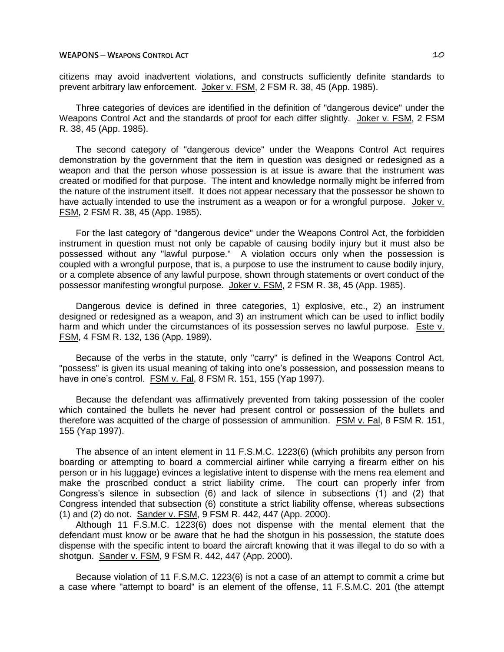citizens may avoid inadvertent violations, and constructs sufficiently definite standards to prevent arbitrary law enforcement. Joker v. FSM, 2 FSM R. 38, 45 (App. 1985).

Three categories of devices are identified in the definition of "dangerous device" under the Weapons Control Act and the standards of proof for each differ slightly. Joker v. FSM, 2 FSM R. 38, 45 (App. 1985).

The second category of "dangerous device" under the Weapons Control Act requires demonstration by the government that the item in question was designed or redesigned as a weapon and that the person whose possession is at issue is aware that the instrument was created or modified for that purpose. The intent and knowledge normally might be inferred from the nature of the instrument itself. It does not appear necessary that the possessor be shown to have actually intended to use the instrument as a weapon or for a wrongful purpose. Joker v. FSM, 2 FSM R. 38, 45 (App. 1985).

For the last category of "dangerous device" under the Weapons Control Act, the forbidden instrument in question must not only be capable of causing bodily injury but it must also be possessed without any "lawful purpose." A violation occurs only when the possession is coupled with a wrongful purpose, that is, a purpose to use the instrument to cause bodily injury, or a complete absence of any lawful purpose, shown through statements or overt conduct of the possessor manifesting wrongful purpose. Joker v. FSM, 2 FSM R. 38, 45 (App. 1985).

Dangerous device is defined in three categories, 1) explosive, etc., 2) an instrument designed or redesigned as a weapon, and 3) an instrument which can be used to inflict bodily harm and which under the circumstances of its possession serves no lawful purpose. Este v. FSM, 4 FSM R. 132, 136 (App. 1989).

Because of the verbs in the statute, only "carry" is defined in the Weapons Control Act, "possess" is given its usual meaning of taking into one's possession, and possession means to have in one's control. FSM v. Fal, 8 FSM R. 151, 155 (Yap 1997).

Because the defendant was affirmatively prevented from taking possession of the cooler which contained the bullets he never had present control or possession of the bullets and therefore was acquitted of the charge of possession of ammunition. FSM v. Fal, 8 FSM R. 151, 155 (Yap 1997).

The absence of an intent element in 11 F.S.M.C. 1223(6) (which prohibits any person from boarding or attempting to board a commercial airliner while carrying a firearm either on his person or in his luggage) evinces a legislative intent to dispense with the mens rea element and make the proscribed conduct a strict liability crime. The court can properly infer from Congress's silence in subsection (6) and lack of silence in subsections (1) and (2) that Congress intended that subsection (6) constitute a strict liability offense, whereas subsections (1) and (2) do not. Sander v. FSM, 9 FSM R. 442, 447 (App. 2000).

Although 11 F.S.M.C. 1223(6) does not dispense with the mental element that the defendant must know or be aware that he had the shotgun in his possession, the statute does dispense with the specific intent to board the aircraft knowing that it was illegal to do so with a shotgun. Sander v. FSM, 9 FSM R. 442, 447 (App. 2000).

Because violation of 11 F.S.M.C. 1223(6) is not a case of an attempt to commit a crime but a case where "attempt to board" is an element of the offense, 11 F.S.M.C. 201 (the attempt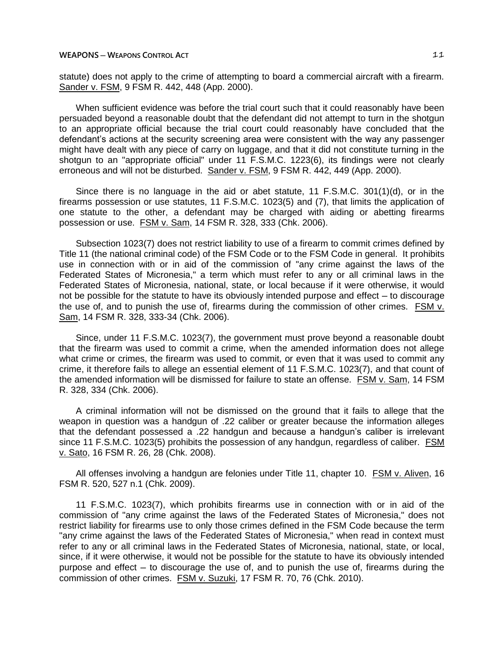statute) does not apply to the crime of attempting to board a commercial aircraft with a firearm. Sander v. FSM, 9 FSM R. 442, 448 (App. 2000).

When sufficient evidence was before the trial court such that it could reasonably have been persuaded beyond a reasonable doubt that the defendant did not attempt to turn in the shotgun to an appropriate official because the trial court could reasonably have concluded that the defendant's actions at the security screening area were consistent with the way any passenger might have dealt with any piece of carry on luggage, and that it did not constitute turning in the shotgun to an "appropriate official" under 11 F.S.M.C. 1223(6), its findings were not clearly erroneous and will not be disturbed. Sander v. FSM, 9 FSM R. 442, 449 (App. 2000).

Since there is no language in the aid or abet statute, 11 F.S.M.C. 301(1)(d), or in the firearms possession or use statutes, 11 F.S.M.C. 1023(5) and (7), that limits the application of one statute to the other, a defendant may be charged with aiding or abetting firearms possession or use. FSM v. Sam, 14 FSM R. 328, 333 (Chk. 2006).

Subsection 1023(7) does not restrict liability to use of a firearm to commit crimes defined by Title 11 (the national criminal code) of the FSM Code or to the FSM Code in general. It prohibits use in connection with or in aid of the commission of "any crime against the laws of the Federated States of Micronesia," a term which must refer to any or all criminal laws in the Federated States of Micronesia, national, state, or local because if it were otherwise, it would not be possible for the statute to have its obviously intended purpose and effect – to discourage the use of, and to punish the use of, firearms during the commission of other crimes. FSM v. Sam, 14 FSM R. 328, 333-34 (Chk. 2006).

Since, under 11 F.S.M.C. 1023(7), the government must prove beyond a reasonable doubt that the firearm was used to commit a crime, when the amended information does not allege what crime or crimes, the firearm was used to commit, or even that it was used to commit any crime, it therefore fails to allege an essential element of 11 F.S.M.C. 1023(7), and that count of the amended information will be dismissed for failure to state an offense. FSM v. Sam, 14 FSM R. 328, 334 (Chk. 2006).

A criminal information will not be dismissed on the ground that it fails to allege that the weapon in question was a handgun of .22 caliber or greater because the information alleges that the defendant possessed a .22 handgun and because a handgun's caliber is irrelevant since 11 F.S.M.C. 1023(5) prohibits the possession of any handgun, regardless of caliber. FSM v. Sato, 16 FSM R. 26, 28 (Chk. 2008).

All offenses involving a handgun are felonies under Title 11, chapter 10. FSM v. Aliven, 16 FSM R. 520, 527 n.1 (Chk. 2009).

11 F.S.M.C. 1023(7), which prohibits firearms use in connection with or in aid of the commission of "any crime against the laws of the Federated States of Micronesia," does not restrict liability for firearms use to only those crimes defined in the FSM Code because the term "any crime against the laws of the Federated States of Micronesia," when read in context must refer to any or all criminal laws in the Federated States of Micronesia, national, state, or local, since, if it were otherwise, it would not be possible for the statute to have its obviously intended purpose and effect ─ to discourage the use of, and to punish the use of, firearms during the commission of other crimes. FSM v. Suzuki, 17 FSM R. 70, 76 (Chk. 2010).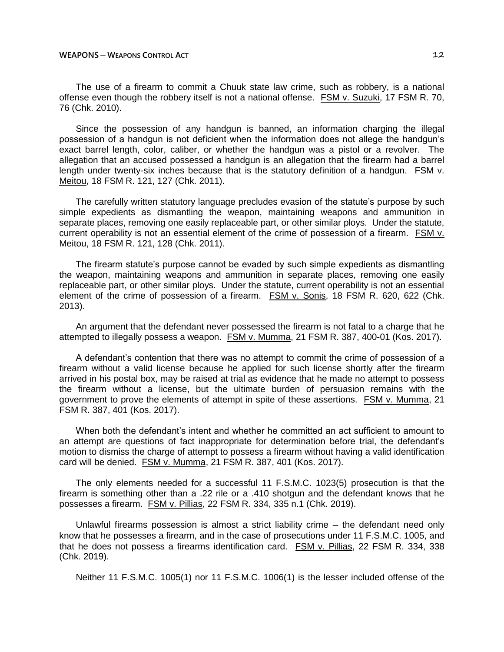The use of a firearm to commit a Chuuk state law crime, such as robbery, is a national offense even though the robbery itself is not a national offense. FSM v. Suzuki, 17 FSM R. 70, 76 (Chk. 2010).

Since the possession of any handgun is banned, an information charging the illegal possession of a handgun is not deficient when the information does not allege the handgun's exact barrel length, color, caliber, or whether the handgun was a pistol or a revolver. The allegation that an accused possessed a handgun is an allegation that the firearm had a barrel length under twenty-six inches because that is the statutory definition of a handgun. FSM v. Meitou, 18 FSM R. 121, 127 (Chk. 2011).

The carefully written statutory language precludes evasion of the statute's purpose by such simple expedients as dismantling the weapon, maintaining weapons and ammunition in separate places, removing one easily replaceable part, or other similar ploys. Under the statute, current operability is not an essential element of the crime of possession of a firearm. FSM v. Meitou, 18 FSM R. 121, 128 (Chk. 2011).

The firearm statute's purpose cannot be evaded by such simple expedients as dismantling the weapon, maintaining weapons and ammunition in separate places, removing one easily replaceable part, or other similar ploys. Under the statute, current operability is not an essential element of the crime of possession of a firearm. FSM v. Sonis, 18 FSM R. 620, 622 (Chk. 2013).

An argument that the defendant never possessed the firearm is not fatal to a charge that he attempted to illegally possess a weapon. FSM v. Mumma, 21 FSM R. 387, 400-01 (Kos. 2017).

A defendant's contention that there was no attempt to commit the crime of possession of a firearm without a valid license because he applied for such license shortly after the firearm arrived in his postal box, may be raised at trial as evidence that he made no attempt to possess the firearm without a license, but the ultimate burden of persuasion remains with the government to prove the elements of attempt in spite of these assertions. FSM v. Mumma, 21 FSM R. 387, 401 (Kos. 2017).

When both the defendant's intent and whether he committed an act sufficient to amount to an attempt are questions of fact inappropriate for determination before trial, the defendant's motion to dismiss the charge of attempt to possess a firearm without having a valid identification card will be denied. FSM v. Mumma, 21 FSM R. 387, 401 (Kos. 2017).

The only elements needed for a successful 11 F.S.M.C. 1023(5) prosecution is that the firearm is something other than a .22 rile or a .410 shotgun and the defendant knows that he possesses a firearm. FSM v. Pillias, 22 FSM R. 334, 335 n.1 (Chk. 2019).

Unlawful firearms possession is almost a strict liability crime  $-$  the defendant need only know that he possesses a firearm, and in the case of prosecutions under 11 F.S.M.C. 1005, and that he does not possess a firearms identification card. FSM v. Pillias, 22 FSM R. 334, 338 (Chk. 2019).

Neither 11 F.S.M.C. 1005(1) nor 11 F.S.M.C. 1006(1) is the lesser included offense of the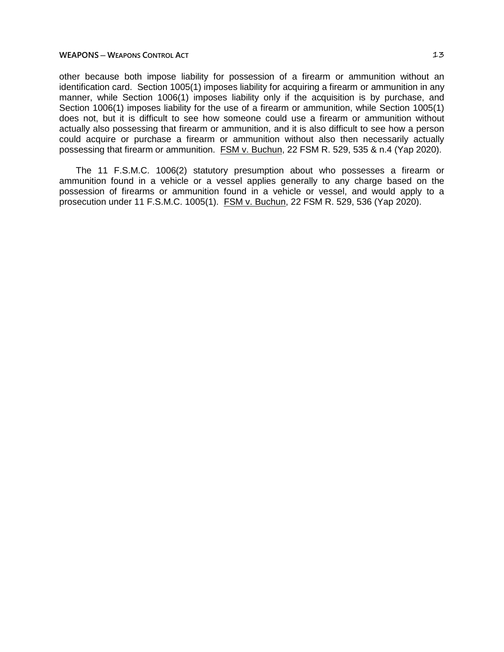other because both impose liability for possession of a firearm or ammunition without an identification card. Section 1005(1) imposes liability for acquiring a firearm or ammunition in any manner, while Section 1006(1) imposes liability only if the acquisition is by purchase, and Section 1006(1) imposes liability for the use of a firearm or ammunition, while Section 1005(1) does not, but it is difficult to see how someone could use a firearm or ammunition without actually also possessing that firearm or ammunition, and it is also difficult to see how a person could acquire or purchase a firearm or ammunition without also then necessarily actually possessing that firearm or ammunition. FSM v. Buchun, 22 FSM R. 529, 535 & n.4 (Yap 2020).

The 11 F.S.M.C. 1006(2) statutory presumption about who possesses a firearm or ammunition found in a vehicle or a vessel applies generally to any charge based on the possession of firearms or ammunition found in a vehicle or vessel, and would apply to a prosecution under 11 F.S.M.C. 1005(1). FSM v. Buchun, 22 FSM R. 529, 536 (Yap 2020).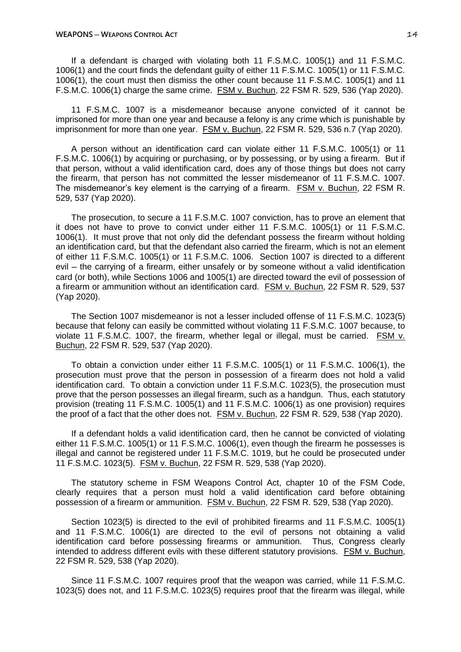If a defendant is charged with violating both 11 F.S.M.C. 1005(1) and 11 F.S.M.C. 1006(1) and the court finds the defendant guilty of either 11 F.S.M.C. 1005(1) or 11 F.S.M.C. 1006(1), the court must then dismiss the other count because 11 F.S.M.C. 1005(1) and 11 F.S.M.C. 1006(1) charge the same crime. FSM v. Buchun, 22 FSM R. 529, 536 (Yap 2020).

11 F.S.M.C. 1007 is a misdemeanor because anyone convicted of it cannot be imprisoned for more than one year and because a felony is any crime which is punishable by imprisonment for more than one year. FSM v. Buchun, 22 FSM R. 529, 536 n.7 (Yap 2020).

A person without an identification card can violate either 11 F.S.M.C. 1005(1) or 11 F.S.M.C. 1006(1) by acquiring or purchasing, or by possessing, or by using a firearm. But if that person, without a valid identification card, does any of those things but does not carry the firearm, that person has not committed the lesser misdemeanor of 11 F.S.M.C. 1007. The misdemeanor's key element is the carrying of a firearm. FSM v. Buchun, 22 FSM R. 529, 537 (Yap 2020).

The prosecution, to secure a 11 F.S.M.C. 1007 conviction, has to prove an element that it does not have to prove to convict under either 11 F.S.M.C. 1005(1) or 11 F.S.M.C. 1006(1). It must prove that not only did the defendant possess the firearm without holding an identification card, but that the defendant also carried the firearm, which is not an element of either 11 F.S.M.C. 1005(1) or 11 F.S.M.C. 1006. Section 1007 is directed to a different evil – the carrying of a firearm, either unsafely or by someone without a valid identification card (or both), while Sections 1006 and 1005(1) are directed toward the evil of possession of a firearm or ammunition without an identification card. FSM v. Buchun, 22 FSM R. 529, 537 (Yap 2020).

The Section 1007 misdemeanor is not a lesser included offense of 11 F.S.M.C. 1023(5) because that felony can easily be committed without violating 11 F.S.M.C. 1007 because, to violate 11 F.S.M.C. 1007, the firearm, whether legal or illegal, must be carried. FSM v. Buchun, 22 FSM R. 529, 537 (Yap 2020).

To obtain a conviction under either 11 F.S.M.C. 1005(1) or 11 F.S.M.C. 1006(1), the prosecution must prove that the person in possession of a firearm does not hold a valid identification card. To obtain a conviction under 11 F.S.M.C. 1023(5), the prosecution must prove that the person possesses an illegal firearm, such as a handgun. Thus, each statutory provision (treating 11 F.S.M.C. 1005(1) and 11 F.S.M.C. 1006(1) as one provision) requires the proof of a fact that the other does not. FSM v. Buchun, 22 FSM R. 529, 538 (Yap 2020).

If a defendant holds a valid identification card, then he cannot be convicted of violating either 11 F.S.M.C. 1005(1) or 11 F.S.M.C. 1006(1), even though the firearm he possesses is illegal and cannot be registered under 11 F.S.M.C. 1019, but he could be prosecuted under 11 F.S.M.C. 1023(5). FSM v. Buchun, 22 FSM R. 529, 538 (Yap 2020).

The statutory scheme in FSM Weapons Control Act, chapter 10 of the FSM Code, clearly requires that a person must hold a valid identification card before obtaining possession of a firearm or ammunition. FSM v. Buchun, 22 FSM R. 529, 538 (Yap 2020).

Section 1023(5) is directed to the evil of prohibited firearms and 11 F.S.M.C. 1005(1) and 11 F.S.M.C. 1006(1) are directed to the evil of persons not obtaining a valid identification card before possessing firearms or ammunition. Thus, Congress clearly intended to address different evils with these different statutory provisions. FSM v. Buchun, 22 FSM R. 529, 538 (Yap 2020).

Since 11 F.S.M.C. 1007 requires proof that the weapon was carried, while 11 F.S.M.C. 1023(5) does not, and 11 F.S.M.C. 1023(5) requires proof that the firearm was illegal, while